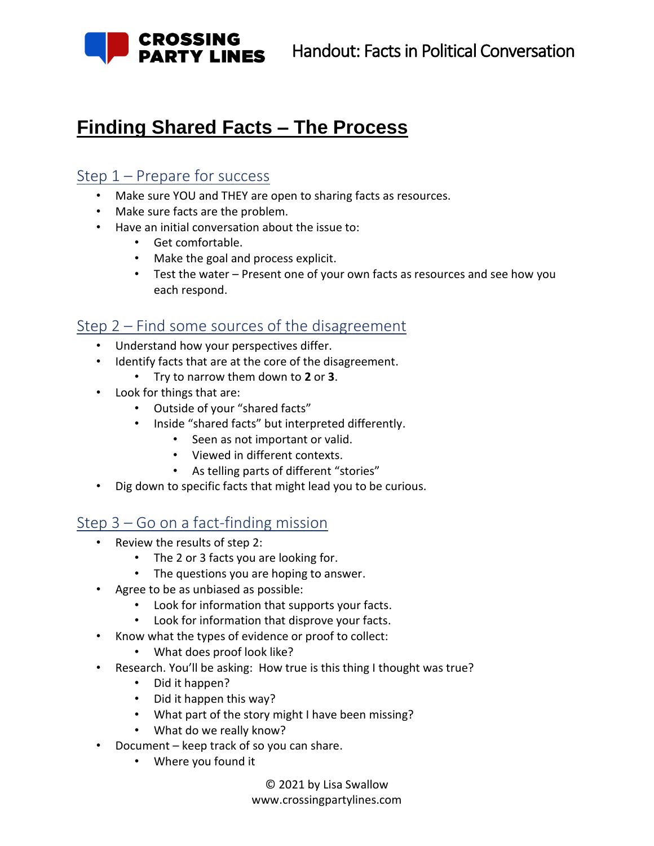

## **Finding Shared Facts – The Process**

### Step 1 – Prepare for success

- Make sure YOU and THEY are open to sharing facts as resources.
- Make sure facts are the problem.
- Have an initial conversation about the issue to:
	- Get comfortable.
	- Make the goal and process explicit.
	- Test the water Present one of your own facts as resources and see how you each respond.

### Step 2 – Find some sources of the disagreement

- Understand how your perspectives differ.
- Identify facts that are at the core of the disagreement.
	- Try to narrow them down to **2** or **3**.
- Look for things that are:
	- Outside of your "shared facts"
	- Inside "shared facts" but interpreted differently.
		- Seen as not important or valid.
		- Viewed in different contexts.
		- As telling parts of different "stories"
- Dig down to specific facts that might lead you to be curious.

### Step 3 – Go on a fact-finding mission

- Review the results of step 2:
	- The 2 or 3 facts you are looking for.
	- The questions you are hoping to answer.
- Agree to be as unbiased as possible:
	- Look for information that supports your facts.
	- Look for information that disprove your facts.
- Know what the types of evidence or proof to collect:
	- What does proof look like?
- Research. You'll be asking: How true is this thing I thought was true?
	- Did it happen?
	- Did it happen this way?
	- What part of the story might I have been missing?
	- What do we really know?
- Document keep track of so you can share.
	- Where you found it

© 2021 by Lisa Swallow www.crossingpartylines.com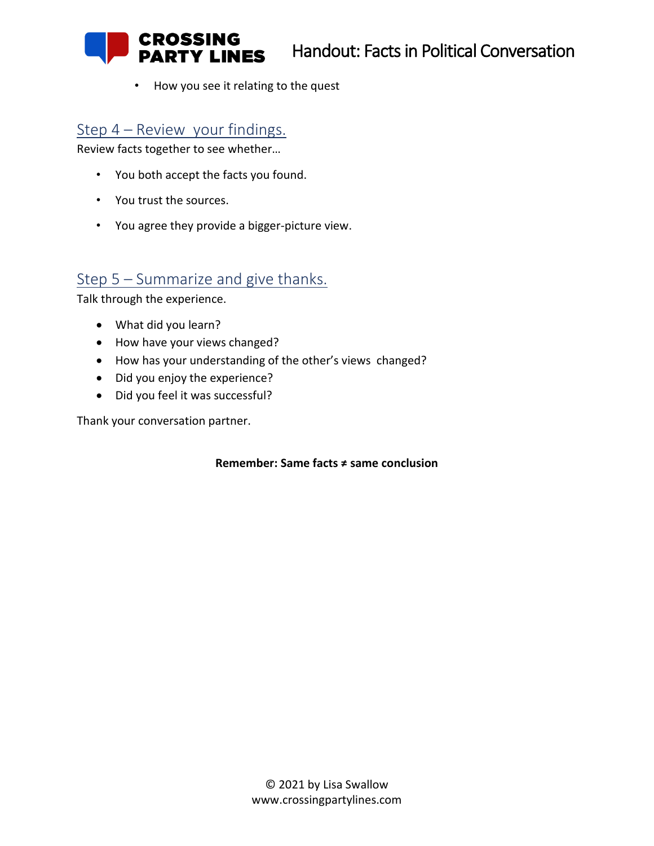Handout: Facts in Political Conversation

• How you see it relating to the quest

### Step 4 – Review your findings.

**CROSSING** 

**RTY LINES** 

Review facts together to see whether…

- You both accept the facts you found.
- You trust the sources.
- You agree they provide a bigger-picture view.

### Step 5 – Summarize and give thanks.

Talk through the experience.

- What did you learn?
- How have your views changed?
- How has your understanding of the other's views changed?
- Did you enjoy the experience?
- Did you feel it was successful?

Thank your conversation partner.

#### **Remember: Same facts ≠ same conclusion**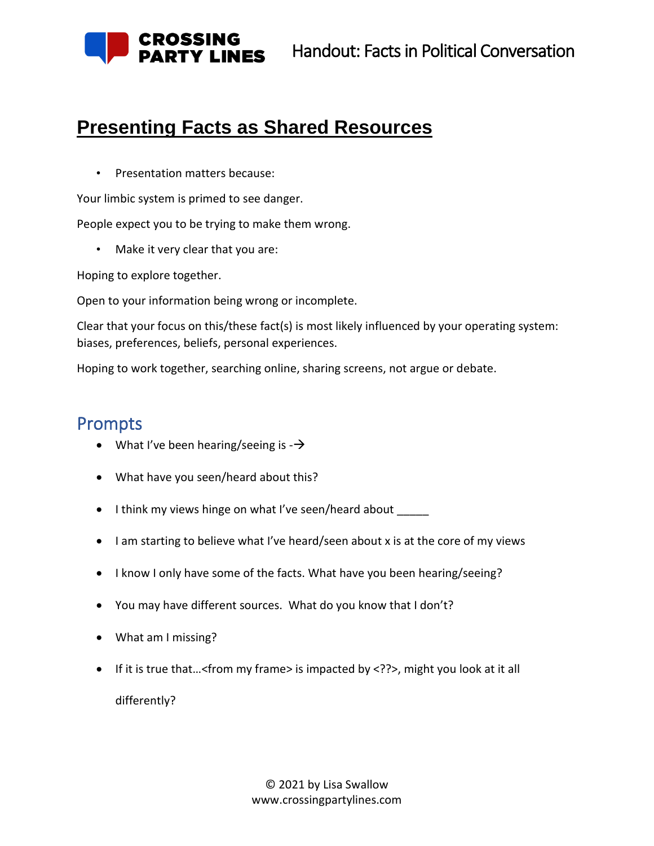

## **Presenting Facts as Shared Resources**

• Presentation matters because:

Your limbic system is primed to see danger.

People expect you to be trying to make them wrong.

• Make it very clear that you are:

Hoping to explore together.

Open to your information being wrong or incomplete.

Clear that your focus on this/these fact(s) is most likely influenced by your operating system: biases, preferences, beliefs, personal experiences.

Hoping to work together, searching online, sharing screens, not argue or debate.

## Prompts

- What I've been hearing/seeing is  $-\rightarrow$
- What have you seen/heard about this?
- I think my views hinge on what I've seen/heard about \_\_\_\_\_
- I am starting to believe what I've heard/seen about x is at the core of my views
- I know I only have some of the facts. What have you been hearing/seeing?
- You may have different sources. What do you know that I don't?
- What am I missing?
- If it is true that...<from my frame> is impacted by <??>, might you look at it all differently?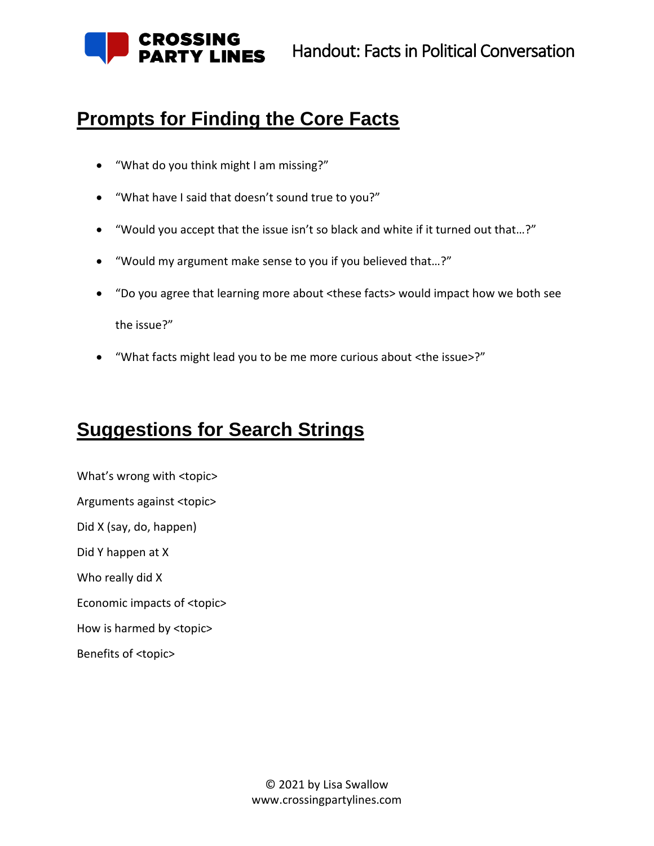

Handout: Facts in Political Conversation

## **Prompts for Finding the Core Facts**

- "What do you think might I am missing?"
- "What have I said that doesn't sound true to you?"
- "Would you accept that the issue isn't so black and white if it turned out that…?"
- "Would my argument make sense to you if you believed that…?"
- "Do you agree that learning more about <these facts> would impact how we both see the issue?"
- "What facts might lead you to be me more curious about <the issue>?"

# **Suggestions for Search Strings**

What's wrong with <topic> Arguments against <topic> Did X (say, do, happen) Did Y happen at X Who really did X Economic impacts of <topic> How is harmed by <topic>

Benefits of <topic>